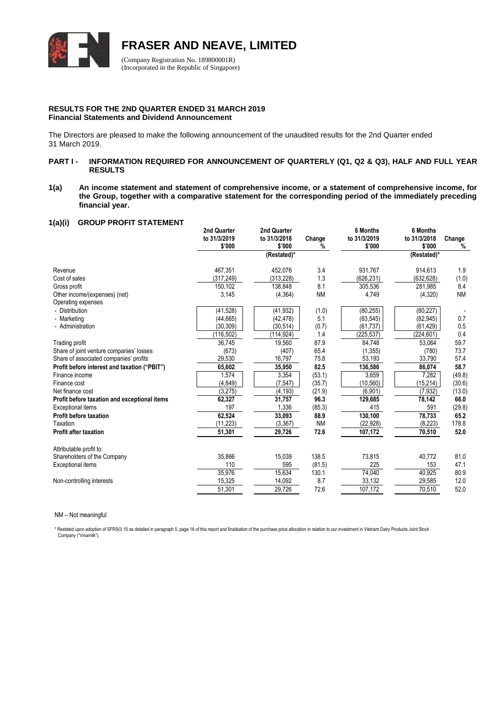

**FRASER AND NEAVE, LIMITED**

(Company Registration No. 189800001R) (Incorporated in the Republic of Singapore)

# **RESULTS FOR THE 2ND QUARTER ENDED 31 MARCH 2019 Financial Statements and Dividend Announcement**

The Directors are pleased to make the following announcement of the unaudited results for the 2nd Quarter ended 31 March 2019.

# PART I - **INFORMATION REQUIRED FOR ANNOUNCEMENT OF QUARTERLY (Q1, Q2 & Q3), HALF AND FULL YEAR RESULTS**

**1(a) An income statement and statement of comprehensive income, or a statement of comprehensive income, for the Group, together with a comparative statement for the corresponding period of the immediately preceding financial year.**

# **1(a)(i) GROUP PROFIT STATEMENT**

|                                                     | 2nd Quarter<br>to 31/3/2019<br>\$'000 | 2nd Quarter<br>to 31/3/2018<br>\$'000 | Change<br>% | 6 Months<br>to 31/3/2019<br>\$'000 | 6 Months<br>to 31/3/2018<br>\$'000 | Change<br>% |
|-----------------------------------------------------|---------------------------------------|---------------------------------------|-------------|------------------------------------|------------------------------------|-------------|
|                                                     |                                       | (Restated)*                           |             |                                    | (Restated)*                        |             |
| Revenue                                             | 467,351                               | 452,076                               | 3.4         | 931,767                            | 914,613                            | 1.9         |
| Cost of sales                                       | (317, 249)                            | (313, 228)                            | 1.3         | (626, 231)                         | (632, 628)                         | (1.0)       |
| Gross profit                                        | 150,102                               | 138,848                               | 8.1         | 305,536                            | 281,985                            | 8.4         |
| Other income/(expenses) (net)<br>Operating expenses | 3,145                                 | (4, 364)                              | <b>NM</b>   | 4,749                              | (4,320)                            | <b>NM</b>   |
| - Distribution                                      | (41, 528)                             | (41, 932)                             | (1.0)       | (80, 255)                          | (80, 227)                          |             |
| - Marketing                                         | (44, 665)                             | (42, 478)                             | 5.1         | (83, 545)                          | (82, 945)                          | 0.7         |
| - Administration                                    | (30, 309)                             | (30.514)                              | (0.7)       | (61, 737)                          | (61, 429)                          | 0.5         |
|                                                     | (116, 502)                            | (114, 924)                            | 1.4         | (225, 537)                         | (224, 601)                         | 0.4         |
| Trading profit                                      | 36,745                                | 19,560                                | 87.9        | 84,748                             | 53,064                             | 59.7        |
| Share of joint venture companies' losses            | (673)                                 | (407)                                 | 65.4        | (1, 355)                           | (780)                              | 73.7        |
| Share of associated companies' profits              | 29,530                                | 16,797                                | 75.8        | 53,193                             | 33,790                             | 57.4        |
| Profit before interest and taxation ("PBIT")        | 65,602                                | 35,950                                | 82.5        | 136,586                            | 86,074                             | 58.7        |
| Finance income                                      | 1,574                                 | 3,354                                 | (53.1)      | 3,659                              | 7,282                              | (49.8)      |
| Finance cost                                        | (4, 849)                              | (7, 547)                              | (35.7)      | (10, 560)                          | (15, 214)                          | (30.6)      |
| Net finance cost                                    | (3,275)                               | (4, 193)                              | (21.9)      | (6,901)                            | (7, 932)                           | (13.0)      |
| Profit before taxation and exceptional items        | 62,327                                | 31,757                                | 96.3        | 129,685                            | 78,142                             | 66.0        |
| <b>Exceptional items</b>                            | 197                                   | 1,336                                 | (85.3)      | 415                                | 591                                | (29.8)      |
| Profit before taxation                              | 62,524                                | 33,093                                | 88.9        | 130,100                            | 78,733                             | 65.2        |
| Taxation                                            | (11, 223)                             | (3, 367)                              | <b>NM</b>   | (22, 928)                          | (8,223)                            | 178.8       |
| <b>Profit after taxation</b>                        | 51,301                                | 29,726                                | 72.6        | 107,172                            | 70,510                             | 52.0        |
| Attributable profit to:                             |                                       |                                       |             |                                    |                                    |             |
| Shareholders of the Company                         | 35,866                                | 15,039                                | 138.5       | 73,815                             | 40,772                             | 81.0        |
| Exceptional items                                   | 110                                   | 595                                   | (81.5)      | 225                                | 153                                | 47.1        |
|                                                     | 35,976                                | 15,634                                | 130.1       | 74,040                             | 40,925                             | 80.9        |
| Non-controlling interests                           | 15,325                                | 14,092                                | 8.7         | 33,132                             | 29,585                             | 12.0        |
|                                                     | 51,301                                | 29,726                                | 72.6        | 107,172                            | 70,510                             | 52.0        |
|                                                     |                                       |                                       |             |                                    |                                    |             |

#### NM – Not meaningful

\* Restated upon adoption of SFRS(I) 15 as detailed in paragraph 5, page 16 of this report and finalisation of the purchase price allocation in relation to our investment in Vietnam Dairy Products Joint Stock Company ("Vinamilk").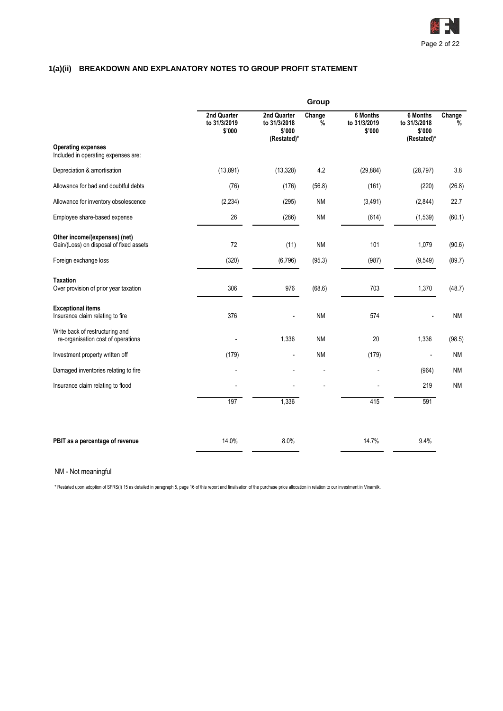

# **1(a)(ii) BREAKDOWN AND EXPLANATORY NOTES TO GROUP PROFIT STATEMENT**

|                                                                          |                                       |                                                      | Group       |                                    |                                                   |                         |
|--------------------------------------------------------------------------|---------------------------------------|------------------------------------------------------|-------------|------------------------------------|---------------------------------------------------|-------------------------|
|                                                                          | 2nd Quarter<br>to 31/3/2019<br>\$'000 | 2nd Quarter<br>to 31/3/2018<br>\$'000<br>(Restated)* | Change<br>% | 6 Months<br>to 31/3/2019<br>\$'000 | 6 Months<br>to 31/3/2018<br>\$'000<br>(Restated)* | Change<br>$\frac{1}{2}$ |
| <b>Operating expenses</b><br>Included in operating expenses are:         |                                       |                                                      |             |                                    |                                                   |                         |
| Depreciation & amortisation                                              | (13, 891)                             | (13, 328)                                            | 4.2         | (29, 884)                          | (28, 797)                                         | 3.8                     |
| Allowance for bad and doubtful debts                                     | (76)                                  | (176)                                                | (56.8)      | (161)                              | (220)                                             | (26.8)                  |
| Allowance for inventory obsolescence                                     | (2, 234)                              | (295)                                                | <b>NM</b>   | (3, 491)                           | (2,844)                                           | 22.7                    |
| Employee share-based expense                                             | 26                                    | (286)                                                | <b>NM</b>   | (614)                              | (1,539)                                           | (60.1)                  |
| Other income/(expenses) (net)<br>Gain/(Loss) on disposal of fixed assets | 72                                    | (11)                                                 | <b>NM</b>   | 101                                | 1,079                                             | (90.6)                  |
| Foreign exchange loss                                                    | (320)                                 | (6, 796)                                             | (95.3)      | (987)                              | (9, 549)                                          | (89.7)                  |
| <b>Taxation</b><br>Over provision of prior year taxation                 | 306                                   | 976                                                  | (68.6)      | 703                                | 1,370                                             | (48.7)                  |
| <b>Exceptional items</b><br>Insurance claim relating to fire             | 376                                   |                                                      | <b>NM</b>   | 574                                |                                                   | <b>NM</b>               |
| Write back of restructuring and<br>re-organisation cost of operations    |                                       | 1,336                                                | <b>NM</b>   | 20                                 | 1,336                                             | (98.5)                  |
| Investment property written off                                          | (179)                                 | $\overline{a}$                                       | <b>NM</b>   | (179)                              |                                                   | <b>NM</b>               |
| Damaged inventories relating to fire                                     |                                       |                                                      |             |                                    | (964)                                             | <b>NM</b>               |
| Insurance claim relating to flood                                        |                                       |                                                      |             |                                    | 219                                               | <b>NM</b>               |
|                                                                          | 197                                   | 1,336                                                |             | 415                                | 591                                               |                         |
| PBIT as a percentage of revenue                                          | 14.0%                                 | 8.0%                                                 |             | 14.7%                              | 9.4%                                              |                         |
|                                                                          |                                       |                                                      |             |                                    |                                                   |                         |

# NM - Not meaningful

\* Restated upon adoption of SFRS(I) 15 as detailed in paragraph 5, page 16 of this report and finalisation of the purchase price allocation in relation to our investment in Vinamilk.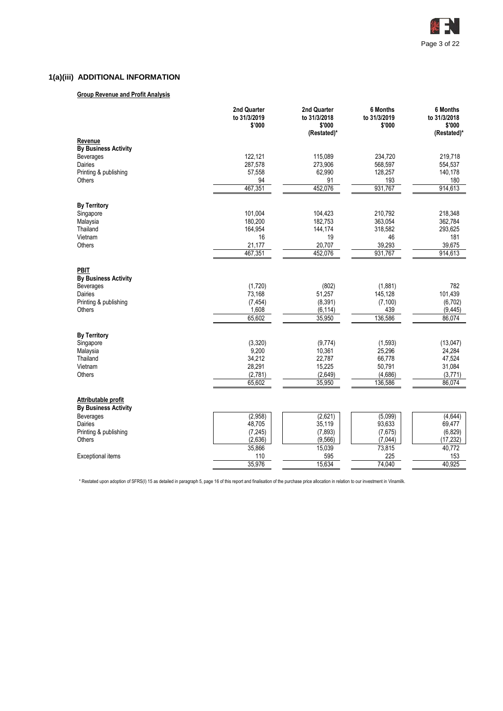

# **1(a)(iii) ADDITIONAL INFORMATION**

# **Group Revenue and Profit Analysis**

|                             | 2nd Quarter<br>to 31/3/2019<br>\$'000 | 2nd Quarter<br>to 31/3/2018<br>\$'000<br>(Restated)* | 6 Months<br>to 31/3/2019<br>\$'000 | 6 Months<br>to 31/3/2018<br>\$'000<br>(Restated)* |
|-----------------------------|---------------------------------------|------------------------------------------------------|------------------------------------|---------------------------------------------------|
| Revenue                     |                                       |                                                      |                                    |                                                   |
| <b>By Business Activity</b> |                                       |                                                      |                                    |                                                   |
| Beverages                   | 122,121                               | 115,089                                              | 234,720                            | 219,718                                           |
| Dairies                     | 287,578                               | 273,906                                              | 568,597                            | 554,537                                           |
| Printing & publishing       | 57,558                                | 62,990                                               | 128,257                            | 140,178                                           |
| Others                      | 94                                    | 91                                                   | 193                                | 180                                               |
|                             | 467,351                               | 452,076                                              | 931,767                            | 914,613                                           |
| <b>By Territory</b>         |                                       |                                                      |                                    |                                                   |
| Singapore                   | 101,004                               | 104,423                                              | 210,792                            | 218,348                                           |
| Malaysia                    | 180,200                               | 182,753                                              | 363,054                            | 362,784                                           |
| Thailand                    | 164,954                               | 144,174                                              | 318,582                            | 293,625                                           |
| Vietnam                     | 16                                    | 19                                                   | 46                                 | 181                                               |
| Others                      | 21,177                                | 20,707                                               | 39,293                             | 39,675                                            |
|                             | 467,351                               | 452,076                                              | 931,767                            | 914,613                                           |
| <b>PBIT</b>                 |                                       |                                                      |                                    |                                                   |
| <b>By Business Activity</b> |                                       |                                                      |                                    |                                                   |
| Beverages                   | (1,720)                               | (802)                                                | (1,881)                            | 782                                               |
| Dairies                     | 73,168                                | 51,257                                               | 145,128                            | 101,439                                           |
| Printing & publishing       | (7, 454)                              | (8, 391)                                             | (7, 100)                           | (6, 702)                                          |
| Others                      | 1,608                                 | (6, 114)                                             | 439                                | (9, 445)                                          |
|                             | 65,602                                | 35,950                                               | 136,586                            | 86,074                                            |
| <b>By Territory</b>         |                                       |                                                      |                                    |                                                   |
| Singapore                   | (3,320)                               | (9,774)                                              | (1, 593)                           | (13,047)                                          |
| Malaysia                    | 9,200                                 | 10,361                                               | 25,296                             | 24,284                                            |
| Thailand                    | 34,212                                | 22,787                                               | 66,778                             | 47,524                                            |
| Vietnam                     | 28,291                                | 15,225                                               | 50,791                             | 31,084                                            |
| Others                      | (2,781)                               | (2,649)                                              | (4,686)                            | (3,771)                                           |
|                             | 65,602                                | 35,950                                               | 136,586                            | 86,074                                            |
| Attributable profit         |                                       |                                                      |                                    |                                                   |
| <b>By Business Activity</b> |                                       |                                                      |                                    |                                                   |
| <b>Beverages</b>            | (2,958)                               | (2,621)                                              | (5,099)                            | (4,644)                                           |
| Dairies                     | 48,705                                | 35,119                                               | 93,633                             | 69,477                                            |
| Printing & publishing       | (7, 245)                              | (7, 893)                                             | (7,675)                            | (6, 829)                                          |
| Others                      | (2,636)                               | (9, 566)                                             | (7,044)                            | (17, 232)                                         |
|                             | 35,866                                | 15,039                                               | 73,815                             | 40,772                                            |
| <b>Exceptional items</b>    | 110                                   | 595                                                  | 225                                | 153                                               |
|                             | 35,976                                | 15,634                                               | 74,040                             | 40,925                                            |

\* Restated upon adoption of SFRS(I) 15 as detailed in paragraph 5, page 16 of this report and finalisation of the purchase price allocation in relation to our investment in Vinamilk.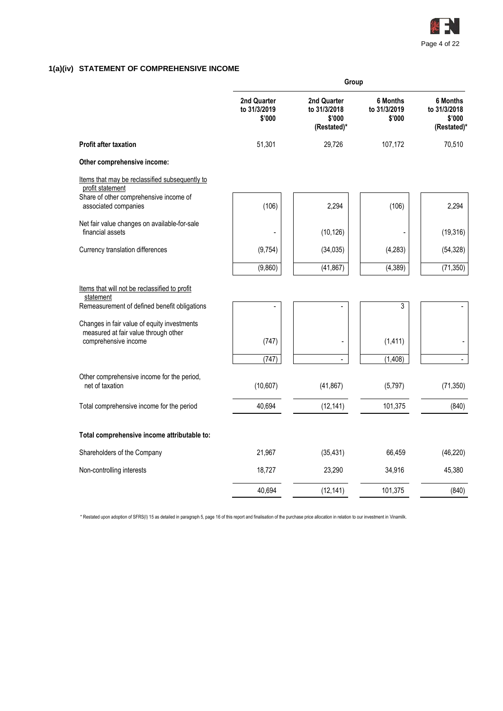

# **1(a)(iv) STATEMENT OF COMPREHENSIVE INCOME**

|                                                                                                            | Group                                 |                                                      |                                           |                                                          |  |  |  |  |  |
|------------------------------------------------------------------------------------------------------------|---------------------------------------|------------------------------------------------------|-------------------------------------------|----------------------------------------------------------|--|--|--|--|--|
|                                                                                                            | 2nd Quarter<br>to 31/3/2019<br>\$'000 | 2nd Quarter<br>to 31/3/2018<br>\$'000<br>(Restated)* | <b>6 Months</b><br>to 31/3/2019<br>\$'000 | <b>6 Months</b><br>to 31/3/2018<br>\$'000<br>(Restated)* |  |  |  |  |  |
| <b>Profit after taxation</b>                                                                               | 51,301                                | 29,726                                               | 107,172                                   | 70,510                                                   |  |  |  |  |  |
| Other comprehensive income:                                                                                |                                       |                                                      |                                           |                                                          |  |  |  |  |  |
| Items that may be reclassified subsequently to<br>profit statement                                         |                                       |                                                      |                                           |                                                          |  |  |  |  |  |
| Share of other comprehensive income of<br>associated companies                                             | (106)                                 | 2,294                                                | (106)                                     | 2,294                                                    |  |  |  |  |  |
| Net fair value changes on available-for-sale<br>financial assets                                           |                                       | (10, 126)                                            |                                           | (19, 316)                                                |  |  |  |  |  |
| Currency translation differences                                                                           | (9, 754)                              | (34, 035)                                            | (4, 283)                                  | (54, 328)                                                |  |  |  |  |  |
|                                                                                                            | (9,860)                               | (41, 867)                                            | (4, 389)                                  | (71, 350)                                                |  |  |  |  |  |
| Items that will not be reclassified to profit<br>statement<br>Remeasurement of defined benefit obligations |                                       |                                                      | 3                                         |                                                          |  |  |  |  |  |
| Changes in fair value of equity investments<br>measured at fair value through other                        |                                       |                                                      |                                           |                                                          |  |  |  |  |  |
| comprehensive income                                                                                       | (747)                                 |                                                      | (1, 411)                                  |                                                          |  |  |  |  |  |
|                                                                                                            | (747)                                 | $\overline{a}$                                       | (1,408)                                   | $\overline{a}$                                           |  |  |  |  |  |
| Other comprehensive income for the period,<br>net of taxation                                              | (10, 607)                             | (41, 867)                                            | (5,797)                                   | (71, 350)                                                |  |  |  |  |  |
| Total comprehensive income for the period                                                                  | 40,694                                | (12, 141)                                            | 101,375                                   | (840)                                                    |  |  |  |  |  |
| Total comprehensive income attributable to:                                                                |                                       |                                                      |                                           |                                                          |  |  |  |  |  |
| Shareholders of the Company                                                                                | 21,967                                | (35, 431)                                            | 66,459                                    | (46, 220)                                                |  |  |  |  |  |
| Non-controlling interests                                                                                  | 18,727                                | 23,290                                               | 34,916                                    | 45,380                                                   |  |  |  |  |  |
|                                                                                                            | 40,694                                | (12, 141)                                            | 101,375                                   | (840)                                                    |  |  |  |  |  |

\* Restated upon adoption of SFRS(I) 15 as detailed in paragraph 5, page 16 of this report and finalisation of the purchase price allocation in relation to our investment in Vinamilk.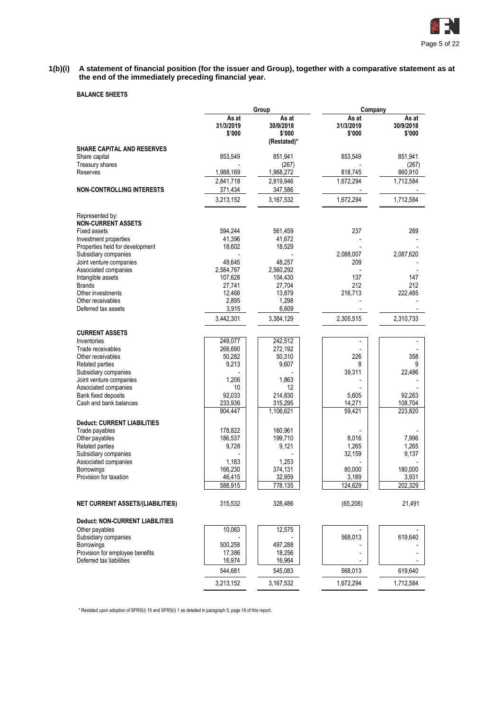

**1(b)(i) A statement of financial position (for the issuer and Group), together with a comparative statement as at the end of the immediately preceding financial year.**

# **BALANCE SHEETS**

|                                                 |                              | Group                                       | Company                      |                              |
|-------------------------------------------------|------------------------------|---------------------------------------------|------------------------------|------------------------------|
|                                                 | As at<br>31/3/2019<br>\$'000 | As at<br>30/9/2018<br>\$'000<br>(Restated)* | As at<br>31/3/2019<br>\$'000 | As at<br>30/9/2018<br>\$'000 |
| <b>SHARE CAPITAL AND RESERVES</b>               |                              |                                             |                              |                              |
| Share capital                                   | 853,549                      | 851,941                                     | 853,549                      | 851,941                      |
| Treasury shares                                 |                              | (267)                                       |                              | (267)                        |
| Reserves                                        | 1,988,169                    | 1,968,272                                   | 818,745                      | 860,910                      |
| <b>NON-CONTROLLING INTERESTS</b>                | 2,841,718<br>371,434         | 2,819,946<br>347,586                        | 1,672,294                    | 1,712,584                    |
|                                                 | 3,213,152                    | 3,167,532                                   | 1,672,294                    | 1,712,584                    |
|                                                 |                              |                                             |                              |                              |
| Represented by:                                 |                              |                                             |                              |                              |
| <b>NON-CURRENT ASSETS</b>                       |                              |                                             |                              |                              |
| <b>Fixed assets</b><br>Investment properties    | 594,244<br>41,396            | 561,459<br>41,672                           | 237                          | 269                          |
| Properties held for development                 | 18,602                       | 18,529                                      |                              |                              |
| Subsidiary companies                            |                              |                                             | 2,088,007                    | 2,087,620                    |
| Joint venture companies                         | 48,645                       | 48,257                                      | 209                          |                              |
| Associated companies                            | 2,584,767                    | 2,560,292                                   |                              |                              |
| Intangible assets                               | 107,628                      | 104,430                                     | 137                          | 147                          |
| <b>Brands</b>                                   | 27,741                       | 27,704                                      | 212                          | 212                          |
| Other investments                               | 12,468                       | 13,879                                      | 216,713                      | 222,485                      |
| Other receivables<br>Deferred tax assets        | 2,895<br>3,915               | 1,298<br>6,609                              |                              |                              |
|                                                 |                              |                                             |                              |                              |
|                                                 | 3,442,301                    | 3,384,129                                   | 2,305,515                    | 2,310,733                    |
| <b>CURRENT ASSETS</b>                           |                              |                                             |                              |                              |
| Inventories                                     | 249.077                      | 242,512                                     |                              |                              |
| Trade receivables                               | 268,690                      | 272,192                                     |                              |                              |
| Other receivables                               | 50,282                       | 50,310                                      | 226                          | 358                          |
| Related parties                                 | 9,213                        | 9,607                                       | 8                            | 9                            |
| Subsidiary companies                            |                              |                                             | 39,311                       | 22,486                       |
| Joint venture companies<br>Associated companies | 1,206<br>10                  | 1,863<br>12                                 |                              |                              |
| Bank fixed deposits                             | 92,033                       | 214,830                                     | 5,605                        | 92,263                       |
| Cash and bank balances                          | 233,936                      | 315,295                                     | 14,271                       | 108,704                      |
|                                                 | 904,447                      | 1,106,621                                   | 59,421                       | 223,820                      |
| <b>Deduct: CURRENT LIABILITIES</b>              |                              |                                             |                              |                              |
| Trade payables                                  | 178,822                      | 160,961                                     |                              |                              |
| Other payables                                  | 186,537                      | 199,710                                     | 8,016                        | 7,996                        |
| Related parties                                 | 9,728                        | 9,121                                       | 1,265                        | 1,265                        |
| Subsidiary companies                            |                              |                                             | 32,159                       | 9,137                        |
| Associated companies                            | 1,183                        | 1,253                                       |                              |                              |
| Borrowings                                      | 166,230                      | 374,131                                     | 80,000                       | 180,000                      |
| Provision for taxation                          | 46,415<br>588,915            | 32,959<br>778,135                           | 3,189<br>124,629             | 3,931<br>202,329             |
|                                                 |                              |                                             |                              |                              |
| NET CURRENT ASSETS/(LIABILITIES)                | 315,532                      | 328,486                                     | (65, 208)                    | 21,491                       |
| Deduct: NON-CURRENT LIABILITIES                 |                              |                                             |                              |                              |
| Other payables                                  | 10,063                       | 12,575                                      |                              |                              |
| Subsidiary companies                            |                              |                                             | 568,013                      | 619,640                      |
| Borrowings                                      | 500,258                      | 497,288                                     |                              |                              |
| Provision for employee benefits                 | 17,386                       | 18,256                                      |                              |                              |
| Deferred tax liabilities                        | 16,974                       | 16,964                                      |                              |                              |
|                                                 | 544,681                      | 545,083                                     | 568,013                      | 619,640                      |
|                                                 | 3,213,152                    | 3,167,532                                   | 1,672,294                    | 1,712,584                    |

\* Restated upon adoption of SFRS(I) 15 and SFRS(I) 1 as detailed in paragraph 5, page 16 of this report.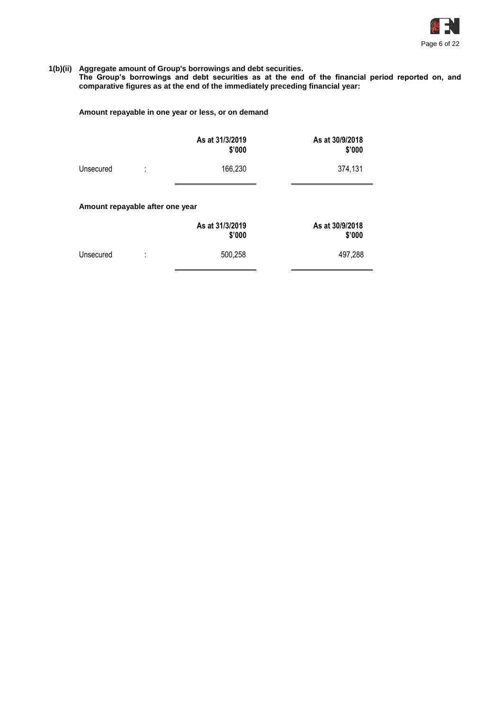

#### **1(b)(ii) Aggregate amount of Group's borrowings and debt securities.**

**The Group's borrowings and debt securities as at the end of the financial period reported on, and comparative figures as at the end of the immediately preceding financial year:**

# **Amount repayable in one year or less, or on demand**

|                                  | As at 31/3/2019<br>\$'000 | As at 30/9/2018<br>\$'000 |  |  |  |  |  |  |  |
|----------------------------------|---------------------------|---------------------------|--|--|--|--|--|--|--|
| Unsecured<br>٠                   | 166,230                   | 374,131                   |  |  |  |  |  |  |  |
| Amount repayable after one year  |                           |                           |  |  |  |  |  |  |  |
|                                  | As at 31/3/2019<br>\$'000 | As at 30/9/2018<br>\$'000 |  |  |  |  |  |  |  |
| Unsecured<br>٠<br>$\blacksquare$ | 500,258                   | 497,288                   |  |  |  |  |  |  |  |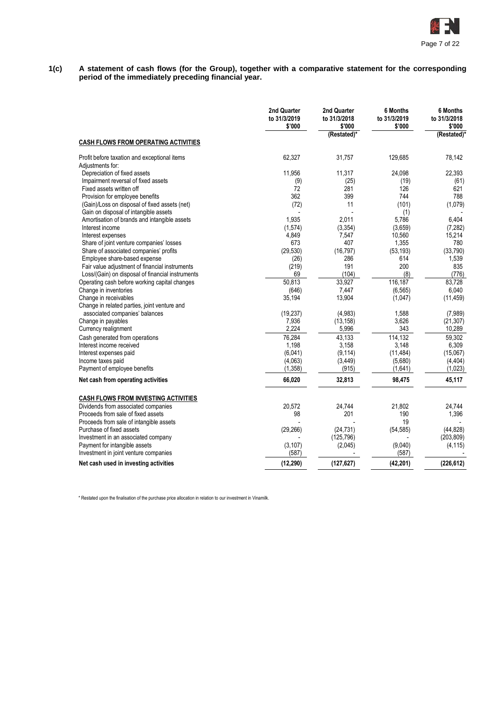

**1(c) A statement of cash flows (for the Group), together with a comparative statement for the corresponding period of the immediately preceding financial year.**

|                                                  | 2nd Quarter<br>to 31/3/2019<br>\$'000 | 2nd Quarter<br>to 31/3/2018<br>\$'000 | 6 Months<br>to 31/3/2019<br>\$'000 | <b>6 Months</b><br>to 31/3/2018<br>\$'000 |
|--------------------------------------------------|---------------------------------------|---------------------------------------|------------------------------------|-------------------------------------------|
| <b>CASH FLOWS FROM OPERATING ACTIVITIES</b>      |                                       | (Restated)*                           |                                    | (Restated)*                               |
| Profit before taxation and exceptional items     | 62,327                                | 31,757                                | 129,685                            | 78,142                                    |
| Adjustments for:                                 |                                       |                                       |                                    |                                           |
| Depreciation of fixed assets                     | 11,956                                | 11,317                                | 24,098                             | 22,393                                    |
| Impairment reversal of fixed assets              | (9)                                   | (25)                                  | (19)                               | (61)                                      |
| Fixed assets written off                         | 72                                    | 281                                   | 126                                | 621                                       |
| Provision for employee benefits                  | 362                                   | 399                                   | 744                                | 788                                       |
| (Gain)/Loss on disposal of fixed assets (net)    | (72)                                  | 11                                    | (101)                              | (1,079)                                   |
| Gain on disposal of intangible assets            |                                       |                                       | (1)                                |                                           |
| Amortisation of brands and intangible assets     | 1,935                                 | 2,011                                 | 5,786                              | 6,404                                     |
| Interest income                                  | (1,574)                               | (3, 354)                              | (3,659)                            | (7, 282)                                  |
| Interest expenses                                | 4,849                                 | 7,547                                 | 10,560                             | 15,214                                    |
| Share of joint venture companies' losses         | 673                                   | 407                                   | 1,355                              | 780                                       |
| Share of associated companies' profits           | (29, 530)                             | (16, 797)                             | (53, 193)                          | (33,790)                                  |
| Employee share-based expense                     | (26)                                  | 286                                   | 614                                | 1,539                                     |
| Fair value adjustment of financial instruments   | (219)                                 | 191                                   | 200                                | 835                                       |
| Loss/(Gain) on disposal of financial instruments | 69                                    | (104)                                 | (8)                                | (776)                                     |
| Operating cash before working capital changes    | 50,813                                | 33,927                                | 116,187                            | 83,728                                    |
| Change in inventories                            | (646)                                 | 7,447                                 | (6, 565)                           | 6,040                                     |
| Change in receivables                            | 35,194                                | 13,904                                | (1,047)                            | (11, 459)                                 |
| Change in related parties, joint venture and     |                                       |                                       |                                    |                                           |
| associated companies' balances                   | (19, 237)                             | (4,983)                               | 1,588                              | (7,989)                                   |
| Change in payables                               | 7,936                                 | (13, 158)                             | 3,626                              | (21, 307)                                 |
| Currency realignment                             | 2,224                                 | 5,996                                 | 343                                | 10,289                                    |
| Cash generated from operations                   | 76,284                                | 43,133                                | 114,132                            | 59,302                                    |
| Interest income received                         | 1.198                                 | 3.158                                 | 3.148                              | 6.309                                     |
| Interest expenses paid                           | (6,041)                               | (9, 114)                              | (11, 484)                          | (15,067)                                  |
| Income taxes paid                                | (4,063)                               | (3, 449)                              | (5,680)                            | (4, 404)                                  |
| Payment of employee benefits                     | (1, 358)                              | (915)                                 | (1,641)                            | (1,023)                                   |
| Net cash from operating activities               | 66.020                                | 32,813                                | 98,475                             | 45,117                                    |
| <b>CASH FLOWS FROM INVESTING ACTIVITIES</b>      |                                       |                                       |                                    |                                           |
| Dividends from associated companies              | 20,572                                | 24,744                                | 21,802                             | 24.744                                    |
| Proceeds from sale of fixed assets               | 98                                    | 201                                   | 190                                | 1,396                                     |
| Proceeds from sale of intangible assets          |                                       |                                       | 19                                 |                                           |
| Purchase of fixed assets                         | (29, 266)                             | (24, 731)                             | (54, 585)                          | (44, 828)                                 |
| Investment in an associated company              |                                       | (125, 796)                            |                                    | (203, 809)                                |
| Payment for intangible assets                    | (3, 107)                              | (2,045)                               | (9,040)                            | (4, 115)                                  |
| Investment in joint venture companies            | (587)                                 |                                       | (587)                              |                                           |
| Net cash used in investing activities            | (12, 290)                             | (127, 627)                            | (42, 201)                          | (226, 612)                                |

\* Restated upon the finalisation of the purchase price allocation in relation to our investment in Vinamilk.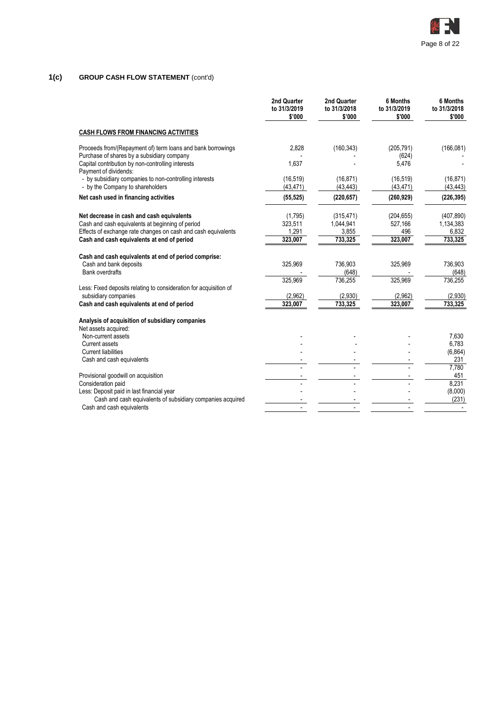

# **1(c) GROUP CASH FLOW STATEMENT** (cont'd)

|                                                                                                                                                                | 2nd Quarter<br>to 31/3/2019<br>\$'000 | 2nd Quarter<br>to 31/3/2018<br>\$'000 | 6 Months<br>to 31/3/2019<br>\$'000 | 6 Months<br>to 31/3/2018<br>\$'000 |
|----------------------------------------------------------------------------------------------------------------------------------------------------------------|---------------------------------------|---------------------------------------|------------------------------------|------------------------------------|
| <b>CASH FLOWS FROM FINANCING ACTIVITIES</b>                                                                                                                    |                                       |                                       |                                    |                                    |
| Proceeds from/(Repayment of) term loans and bank borrowings                                                                                                    | 2,828                                 | (160, 343)                            | (205, 791)                         | (166, 081)                         |
| Purchase of shares by a subsidiary company<br>Capital contribution by non-controlling interests<br>Payment of dividends:                                       | 1,637                                 |                                       | (624)<br>5,476                     |                                    |
| - by subsidiary companies to non-controlling interests<br>- by the Company to shareholders                                                                     | (16, 519)<br>(43, 471)                | (16, 871)<br>(43, 443)                | (16, 519)<br>(43, 471)             | (16, 871)<br>(43, 443)             |
| Net cash used in financing activities                                                                                                                          | (55, 525)                             | (220, 657)                            | (260, 929)                         | (226, 395)                         |
| Net decrease in cash and cash equivalents<br>Cash and cash equivalents at beginning of period<br>Effects of exchange rate changes on cash and cash equivalents | (1,795)<br>323,511<br>1,291           | (315, 471)<br>1,044,941<br>3,855      | (204, 655)<br>527,166<br>496       | (407, 890)<br>1,134,383<br>6,832   |
| Cash and cash equivalents at end of period                                                                                                                     | 323,007                               | 733,325                               | 323,007                            | 733,325                            |
| Cash and cash equivalents at end of period comprise:                                                                                                           |                                       |                                       |                                    |                                    |
| Cash and bank deposits                                                                                                                                         | 325,969                               | 736,903                               | 325,969                            | 736,903                            |
| <b>Bank overdrafts</b>                                                                                                                                         | 325,969                               | (648)<br>736,255                      | 325,969                            | (648)<br>736,255                   |
| Less: Fixed deposits relating to consideration for acquisition of                                                                                              |                                       |                                       |                                    |                                    |
| subsidiary companies                                                                                                                                           | (2,962)                               | (2,930)                               | (2,962)                            | (2,930)                            |
| Cash and cash equivalents at end of period                                                                                                                     | 323,007                               | 733,325                               | 323,007                            | 733,325                            |
| Analysis of acquisition of subsidiary companies<br>Net assets acquired:                                                                                        |                                       |                                       |                                    |                                    |
| Non-current assets                                                                                                                                             |                                       |                                       |                                    | 7,630                              |
| <b>Current assets</b>                                                                                                                                          |                                       |                                       |                                    | 6,783                              |
| <b>Current liabilities</b>                                                                                                                                     |                                       |                                       |                                    | (6, 864)                           |
| Cash and cash equivalents                                                                                                                                      |                                       |                                       |                                    | 231<br>7,780                       |
| Provisional goodwill on acquisition                                                                                                                            |                                       |                                       |                                    | 451                                |
| Consideration paid                                                                                                                                             |                                       |                                       |                                    | 8,231                              |
| Less: Deposit paid in last financial year                                                                                                                      |                                       |                                       |                                    | (8,000)                            |
| Cash and cash equivalents of subsidiary companies acquired                                                                                                     |                                       |                                       |                                    | (231)                              |
| Cash and cash equivalents                                                                                                                                      |                                       |                                       |                                    |                                    |
|                                                                                                                                                                |                                       |                                       |                                    |                                    |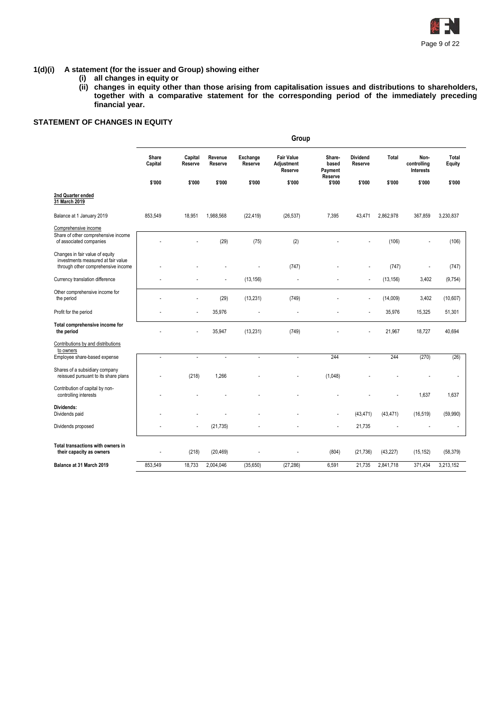

#### **1(d)(i) A statement (for the issuer and Group) showing either**

- **(i) all changes in equity or**
- **(ii) changes in equity other than those arising from capitalisation issues and distributions to shareholders, together with a comparative statement for the corresponding period of the immediately preceding financial year.**

# **STATEMENT OF CHANGES IN EQUITY**

|                                                                                                             |                  |                    |                    |                     | Group                                      |                            |                            |           |                                  |                 |
|-------------------------------------------------------------------------------------------------------------|------------------|--------------------|--------------------|---------------------|--------------------------------------------|----------------------------|----------------------------|-----------|----------------------------------|-----------------|
|                                                                                                             | Share<br>Capital | Capital<br>Reserve | Revenue<br>Reserve | Exchange<br>Reserve | <b>Fair Value</b><br>Adjustment<br>Reserve | Share-<br>based<br>Payment | <b>Dividend</b><br>Reserve | Total     | Non-<br>controlling<br>Interests | Total<br>Equity |
|                                                                                                             | \$'000           | \$'000             | \$'000             | \$'000              | \$'000                                     | Reserve<br>\$'000          | \$'000                     | \$'000    | \$'000                           | \$'000          |
| 2nd Quarter ended<br>31 March 2019                                                                          |                  |                    |                    |                     |                                            |                            |                            |           |                                  |                 |
| Balance at 1 January 2019                                                                                   | 853,549          | 18,951             | 1,988,568          | (22, 419)           | (26, 537)                                  | 7,395                      | 43,471                     | 2,862,978 | 367,859                          | 3,230,837       |
| Comprehensive income<br>Share of other comprehensive income<br>of associated companies                      |                  |                    | (29)               | (75)                | (2)                                        |                            |                            | (106)     |                                  | (106)           |
| Changes in fair value of equity<br>investments measured at fair value<br>through other comprehensive income |                  |                    |                    |                     | (747)                                      |                            |                            | (747)     |                                  | (747)           |
| Currency translation difference                                                                             |                  |                    |                    | (13, 156)           |                                            |                            |                            | (13, 156) | 3,402                            | (9,754)         |
| Other comprehensive income for<br>the period                                                                |                  |                    | (29)               | (13, 231)           | (749)                                      |                            |                            | (14,009)  | 3,402                            | (10,607)        |
| Profit for the period                                                                                       |                  |                    | 35,976             |                     |                                            |                            |                            | 35,976    | 15,325                           | 51,301          |
| Total comprehensive income for<br>the period                                                                |                  |                    | 35,947             | (13, 231)           | (749)                                      |                            |                            | 21,967    | 18,727                           | 40,694          |
| Contributions by and distributions<br>to owners                                                             |                  |                    |                    |                     |                                            |                            |                            |           |                                  |                 |
| Employee share-based expense                                                                                | ÷,               | $\overline{a}$     | $\sim$             | $\sim$              | ÷.                                         | 244                        | $\overline{\phantom{a}}$   | 244       | (270)                            | (26)            |
| Shares of a subsidiary company<br>reissued pursuant to its share plans                                      |                  | (218)              | 1,266              |                     |                                            | (1,048)                    |                            |           |                                  |                 |
| Contribution of capital by non-<br>controlling interests                                                    |                  |                    |                    |                     |                                            |                            |                            |           | 1,637                            | 1,637           |
| Dividends:<br>Dividends paid                                                                                |                  |                    |                    |                     |                                            |                            | (43, 471)                  | (43, 471) | (16, 519)                        | (59,990)        |
| Dividends proposed                                                                                          |                  | ä,                 | (21, 735)          |                     |                                            |                            | 21,735                     |           |                                  |                 |
| Total transactions with owners in<br>their capacity as owners                                               |                  | (218)              | (20, 469)          |                     |                                            | (804)                      | (21, 736)                  | (43, 227) | (15, 152)                        | (58, 379)       |
| Balance at 31 March 2019                                                                                    | 853,549          | 18,733             | 2,004,046          | (35,650)            | (27, 286)                                  | 6,591                      | 21,735                     | 2,841,718 | 371,434                          | 3,213,152       |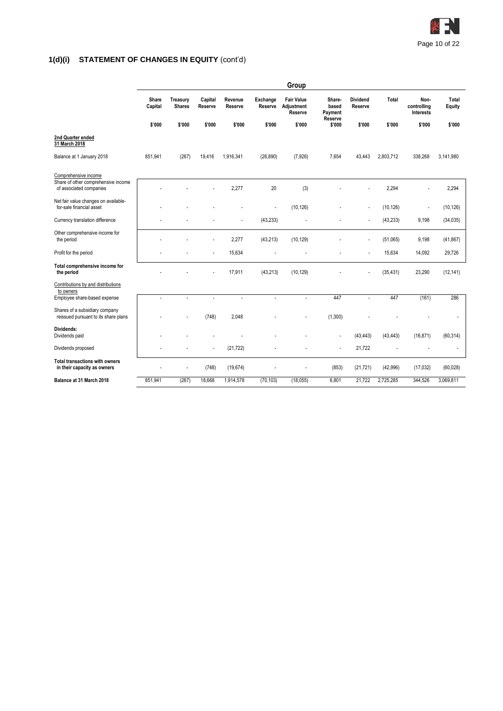

|                                                                        |                  |                           |                    |                    |                     | Group                                      |                            |                            |           |                                         |                 |
|------------------------------------------------------------------------|------------------|---------------------------|--------------------|--------------------|---------------------|--------------------------------------------|----------------------------|----------------------------|-----------|-----------------------------------------|-----------------|
|                                                                        | Share<br>Capital | Treasury<br><b>Shares</b> | Capital<br>Reserve | Revenue<br>Reserve | Exchange<br>Reserve | <b>Fair Value</b><br>Adjustment<br>Reserve | Share-<br>based<br>Payment | <b>Dividend</b><br>Reserve | Total     | Non-<br>controlling<br><b>Interests</b> | Total<br>Equity |
|                                                                        | \$'000           | \$'000                    | \$'000             | \$'000             | \$'000              | \$'000                                     | Reserve<br>\$'000          | \$'000                     | \$'000    | \$'000                                  | \$'000          |
| 2nd Quarter ended<br>31 March 2018                                     |                  |                           |                    |                    |                     |                                            |                            |                            |           |                                         |                 |
| Balance at 1 January 2018                                              | 851,941          | (267)                     | 19,416             | 1,916,341          | (26, 890)           | (7,926)                                    | 7,654                      | 43,443                     | 2,803,712 | 338,268                                 | 3,141,980       |
| Comprehensive income<br>Share of other comprehensive income            |                  |                           |                    |                    |                     |                                            |                            |                            |           |                                         |                 |
| of associated companies                                                |                  |                           |                    | 2,277              | 20                  | (3)                                        |                            |                            | 2,294     | ÷                                       | 2,294           |
| Net fair value changes on available-<br>for-sale financial asset       |                  |                           |                    |                    | ä,                  | (10, 126)                                  |                            |                            | (10, 126) | ł,                                      | (10, 126)       |
| Currency translation difference                                        |                  |                           |                    |                    | (43, 233)           |                                            |                            |                            | (43, 233) | 9,198                                   | (34, 035)       |
| Other comprehensive income for<br>the period                           |                  |                           |                    | 2,277              | (43, 213)           | (10, 129)                                  |                            |                            | (51,065)  | 9,198                                   | (41, 867)       |
| Profit for the period                                                  |                  |                           |                    | 15,634             |                     |                                            |                            |                            | 15,634    | 14,092                                  | 29,726          |
| Total comprehensive income for<br>the period                           |                  |                           |                    | 17,911             | (43, 213)           | (10, 129)                                  |                            |                            | (35, 431) | 23,290                                  | (12, 141)       |
| Contributions by and distributions<br>to owners                        |                  |                           |                    |                    |                     |                                            |                            |                            |           |                                         |                 |
| Employee share-based expense                                           | ÷,               | $\overline{a}$            | $\sim$             | $\overline{a}$     | ÷,                  | ÷,                                         | 447                        | $\overline{a}$             | 447       | (161)                                   | 286             |
| Shares of a subsidiary company<br>reissued pursuant to its share plans |                  |                           | (748)              | 2,048              |                     |                                            | (1,300)                    |                            |           |                                         |                 |
| Dividends:<br>Dividends paid                                           |                  |                           |                    |                    |                     |                                            | $\sim$                     | (43, 443)                  | (43, 443) | (16, 871)                               | (60, 314)       |
| Dividends proposed                                                     |                  |                           |                    | (21, 722)          |                     |                                            | ÷,                         | 21,722                     |           |                                         |                 |
| Total transactions with owners<br>in their capacity as owners          |                  |                           | (748)              | (19, 674)          |                     |                                            | (853)                      | (21, 721)                  | (42,996)  | (17, 032)                               | (60, 028)       |
| Balance at 31 March 2018                                               | 851,941          | (267)                     | 18,668             | 1,914,578          | (70, 103)           | (18,055)                                   | 6,801                      | 21,722                     | 2,725,285 | 344,526                                 | 3,069,811       |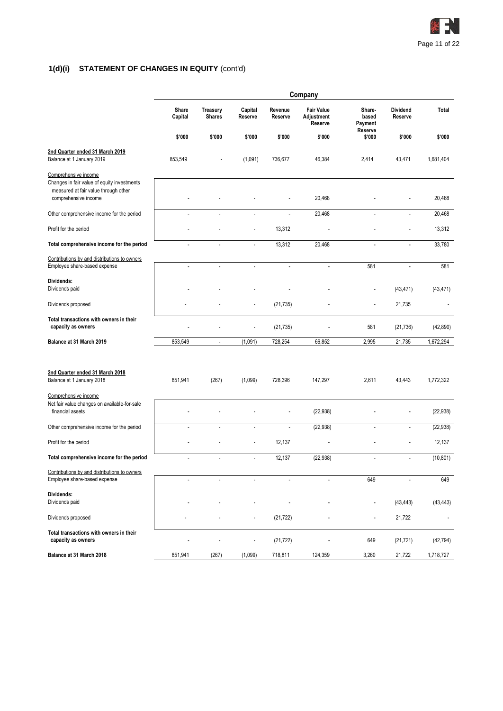

|                                                                                                                                     |                  |                           |                    |                    | Company                                    |                            |                            |                      |
|-------------------------------------------------------------------------------------------------------------------------------------|------------------|---------------------------|--------------------|--------------------|--------------------------------------------|----------------------------|----------------------------|----------------------|
|                                                                                                                                     | Share<br>Capital | Treasury<br><b>Shares</b> | Capital<br>Reserve | Revenue<br>Reserve | <b>Fair Value</b><br>Adjustment<br>Reserve | Share-<br>based<br>Payment | <b>Dividend</b><br>Reserve | Total                |
|                                                                                                                                     | \$'000           | \$'000                    | \$'000             | \$'000             | \$'000                                     | Reserve<br>\$'000          | \$'000                     | \$'000               |
| 2nd Quarter ended 31 March 2019<br>Balance at 1 January 2019                                                                        | 853,549          |                           | (1,091)            | 736,677            | 46,384                                     | 2,414                      | 43,471                     | 1,681,404            |
| Comprehensive income<br>Changes in fair value of equity investments<br>measured at fair value through other<br>comprehensive income |                  |                           |                    |                    | 20,468                                     |                            |                            | 20,468               |
| Other comprehensive income for the period                                                                                           | $\overline{a}$   | ÷,                        | $\overline{a}$     | ٠                  | 20,468                                     | L,                         | ÷,                         | 20,468               |
| Profit for the period                                                                                                               |                  |                           |                    | 13,312             |                                            |                            |                            | 13,312               |
| Total comprehensive income for the period                                                                                           |                  |                           |                    | 13,312             | 20,468                                     |                            |                            | 33,780               |
| Contributions by and distributions to owners<br>Employee share-based expense                                                        | $\overline{a}$   | ä,                        | ÷,                 | $\overline{a}$     | $\blacksquare$                             | 581                        | ÷,                         | 581                  |
| Dividends:<br>Dividends paid                                                                                                        |                  |                           |                    |                    |                                            |                            | (43, 471)                  | (43, 471)            |
| Dividends proposed                                                                                                                  |                  |                           |                    | (21, 735)          |                                            |                            | 21,735                     | $\ddot{\phantom{a}}$ |
| Total transactions with owners in their<br>capacity as owners                                                                       |                  |                           |                    | (21, 735)          |                                            | 581                        | (21, 736)                  | (42, 890)            |
| Balance at 31 March 2019                                                                                                            | 853,549          | $\sim$                    | (1,091)            | 728,254            | 66,852                                     | 2,995                      | 21,735                     | 1,672,294            |
| 2nd Quarter ended 31 March 2018<br>Balance at 1 January 2018                                                                        | 851,941          | (267)                     | (1,099)            | 728,396            | 147,297                                    | 2,611                      | 43,443                     | 1,772,322            |
| Comprehensive income                                                                                                                |                  |                           |                    |                    |                                            |                            |                            |                      |
| Net fair value changes on available-for-sale<br>financial assets                                                                    |                  |                           |                    |                    | (22, 938)                                  |                            |                            | (22, 938)            |
| Other comprehensive income for the period                                                                                           |                  |                           |                    | ÷,                 | (22, 938)                                  |                            |                            | (22, 938)            |
| Profit for the period                                                                                                               |                  |                           |                    | 12,137             |                                            |                            |                            | 12,137               |
| Total comprehensive income for the period                                                                                           |                  |                           |                    | 12,137             | (22, 938)                                  |                            |                            | (10, 801)            |
| Contributions by and distributions to owners<br>Employee share-based expense                                                        | ٠                | ä,                        |                    |                    | ٠                                          | 649                        |                            | 649                  |
| Dividends:<br>Dividends paid                                                                                                        |                  |                           |                    |                    |                                            |                            | (43, 443)                  | (43, 443)            |
| Dividends proposed                                                                                                                  |                  |                           |                    | (21, 722)          |                                            | $\overline{a}$             | 21,722                     | $\overline{a}$       |
| Total transactions with owners in their<br>capacity as owners                                                                       |                  |                           |                    | (21, 722)          |                                            | 649                        | (21, 721)                  | (42, 794)            |
| Balance at 31 March 2018                                                                                                            | 851,941          | (267)                     | (1,099)            | 718,811            | 124,359                                    | 3,260                      | 21,722                     | 1,718,727            |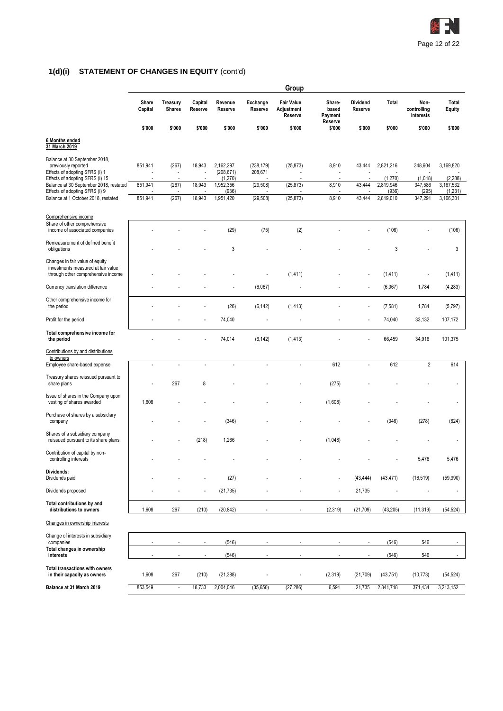

|                                                                                                                           | Group            |                                  |                          |                                    |                       |                                            |                                       |                     |                      |                                  |                          |
|---------------------------------------------------------------------------------------------------------------------------|------------------|----------------------------------|--------------------------|------------------------------------|-----------------------|--------------------------------------------|---------------------------------------|---------------------|----------------------|----------------------------------|--------------------------|
|                                                                                                                           | Share<br>Capital | <b>Treasury</b><br><b>Shares</b> | Capital<br>Reserve       | Revenue<br>Reserve                 | Exchange<br>Reserve   | <b>Fair Value</b><br>Adjustment<br>Reserve | Share-<br>based<br>Payment<br>Reserve | Dividend<br>Reserve | Total                | Non-<br>controlling<br>Interests | Total<br><b>Equity</b>   |
|                                                                                                                           | \$'000           | \$'000                           | \$'000                   | \$'000                             | \$'000                | \$'000                                     | \$'000                                | \$'000              | \$'000               | \$'000                           | \$'000                   |
| 6 Months ended<br>31 March 2019                                                                                           |                  |                                  |                          |                                    |                       |                                            |                                       |                     |                      |                                  |                          |
| Balance at 30 September 2018,<br>previously reported<br>Effects of adopting SFRS (I) 1<br>Effects of adopting SFRS (I) 15 | 851,941          | (267)<br>$\overline{a}$          | 18,943                   | 2,162,297<br>(208, 671)<br>(1,270) | (238, 179)<br>208,671 | (25, 873)                                  | 8,910<br>÷,                           | 43,444              | 2,821,216<br>(1,270) | 348,604<br>(1,018)               | 3,169,820<br>(2, 288)    |
| Balance at 30 September 2018, restated                                                                                    | 851,941          | (267)                            | 18,943                   | 1,952,356                          | (29, 508)             | (25, 873)                                  | 8,910                                 | 43,444              | 2,819,946            | 347,586                          | 3,167,532                |
| Effects of adopting SFRS (I) 9<br>Balance at 1 October 2018, restated                                                     | 851,941          | (267)                            | 18,943                   | (936)<br>1,951,420                 | (29, 508)             | (25, 873)                                  | 8,910                                 | 43,444              | (936)<br>2,819,010   | (295)<br>347,291                 | (1,231)<br>3,166,301     |
|                                                                                                                           |                  |                                  |                          |                                    |                       |                                            |                                       |                     |                      |                                  |                          |
| Comprehensive income<br>Share of other comprehensive<br>income of associated companies                                    |                  |                                  |                          | (29)                               | (75)                  | (2)                                        |                                       |                     | (106)                |                                  | (106)                    |
| Remeasurement of defined benefit<br>obligations                                                                           |                  |                                  |                          | 3                                  |                       |                                            |                                       |                     | 3                    |                                  | 3                        |
| Changes in fair value of equity<br>investments measured at fair value<br>through other comprehensive income               |                  |                                  |                          |                                    |                       | (1, 411)                                   |                                       |                     | (1, 411)             |                                  | (1, 411)                 |
| Currency translation difference                                                                                           |                  |                                  |                          |                                    | (6,067)               |                                            |                                       |                     | (6,067)              | 1,784                            | (4, 283)                 |
| Other comprehensive income for<br>the period                                                                              |                  |                                  |                          | (26)                               | (6, 142)              | (1, 413)                                   |                                       |                     | (7, 581)             | 1,784                            | (5,797)                  |
| Profit for the period                                                                                                     |                  |                                  | ÷,                       | 74,040                             |                       |                                            |                                       |                     | 74,040               | 33,132                           | 107,172                  |
| Total comprehensive income for<br>the period                                                                              |                  |                                  |                          | 74,014                             | (6, 142)              | (1, 413)                                   |                                       |                     | 66,459               | 34,916                           | 101,375                  |
| Contributions by and distributions                                                                                        |                  |                                  |                          |                                    |                       |                                            |                                       |                     |                      |                                  |                          |
| to owners<br>Employee share-based expense                                                                                 | ä,               |                                  |                          | ÷                                  |                       |                                            | 612                                   | ÷,                  | 612                  | $\overline{2}$                   | 614                      |
| Treasury shares reissued pursuant to<br>share plans                                                                       |                  | 267                              | 8                        |                                    |                       |                                            | (275)                                 |                     |                      |                                  |                          |
| Issue of shares in the Company upon<br>vesting of shares awarded                                                          | 1,608            |                                  |                          |                                    |                       |                                            | (1,608)                               |                     |                      |                                  |                          |
| Purchase of shares by a subsidiary<br>company                                                                             |                  |                                  |                          | (346)                              |                       |                                            |                                       |                     | (346)                | (278)                            | (624)                    |
| Shares of a subsidiary company<br>reissued pursuant to its share plans                                                    |                  |                                  | (218)                    | 1,266                              |                       |                                            | (1,048)                               |                     |                      |                                  |                          |
| Contribution of capital by non-<br>controlling interests                                                                  |                  |                                  |                          |                                    |                       |                                            |                                       |                     |                      | 5,476                            | 5,476                    |
| Dividends:<br>Dividends paid                                                                                              |                  |                                  |                          | (27)                               |                       |                                            |                                       | (43, 444)           | (43, 471)            | (16, 519)                        | (59,990)                 |
| Dividends proposed                                                                                                        |                  |                                  |                          | (21, 735)                          |                       |                                            | ÷,                                    | 21,735              |                      | ÷,                               | $\overline{a}$           |
| Total contributions by and<br>distributions to owners                                                                     | 1,608            | 267                              | (210)                    | (20, 842)                          |                       | $\overline{\phantom{a}}$                   | (2,319)                               | (21, 709)           | (43, 205)            | (11, 319)                        | (54, 524)                |
| Changes in ownership interests                                                                                            |                  |                                  |                          |                                    |                       |                                            |                                       |                     |                      |                                  |                          |
| Change of interests in subsidiary                                                                                         |                  |                                  |                          |                                    |                       |                                            |                                       |                     |                      |                                  |                          |
| companies<br>Total changes in ownership                                                                                   |                  |                                  | $\overline{\phantom{a}}$ | (546)                              |                       |                                            |                                       |                     | (546)                | 546                              | $\overline{\phantom{a}}$ |
| interests                                                                                                                 |                  |                                  | $\overline{\phantom{a}}$ | (546)                              |                       | $\blacksquare$                             |                                       |                     | (546)                | 546                              | $\sim$                   |
| <b>Total transactions with owners</b><br>in their capacity as owners                                                      | 1,608            | 267                              | (210)                    | (21, 388)                          |                       | ÷,                                         | (2,319)                               | (21, 709)           | (43, 751)            | (10, 773)                        | (54, 524)                |
| Balance at 31 March 2019                                                                                                  | 853,549          | $\overline{\phantom{a}}$         | 18,733                   | 2,004,046                          | (35, 650)             | (27, 286)                                  | 6,591                                 | 21,735              | 2,841,718            | 371,434                          | 3,213,152                |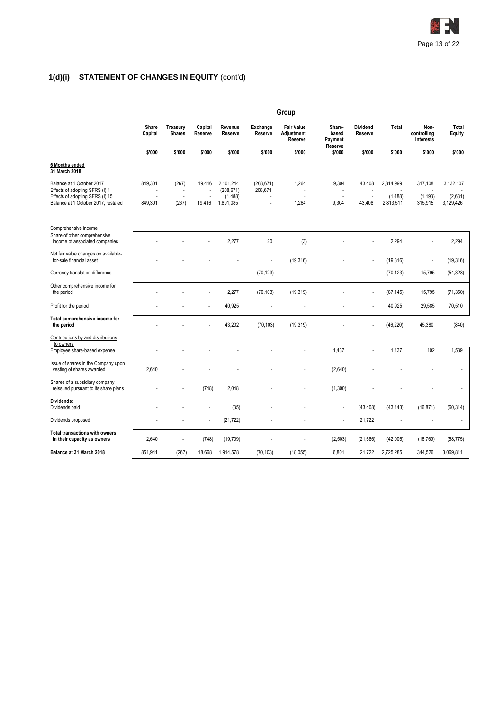

|                                                                                                |                  |                                  |                    |                                     |                       | Group                                      |                                       |                            |                       |                                  |                      |
|------------------------------------------------------------------------------------------------|------------------|----------------------------------|--------------------|-------------------------------------|-----------------------|--------------------------------------------|---------------------------------------|----------------------------|-----------------------|----------------------------------|----------------------|
|                                                                                                | Share<br>Capital | <b>Treasury</b><br><b>Shares</b> | Capital<br>Reserve | Revenue<br>Reserve                  | Exchange<br>Reserve   | <b>Fair Value</b><br>Adjustment<br>Reserve | Share-<br>based<br>Payment<br>Reserve | <b>Dividend</b><br>Reserve | Total                 | Non-<br>controlling<br>Interests | Total<br>Equity      |
|                                                                                                | \$'000           | \$'000                           | \$'000             | \$'000                              | \$'000                | \$'000                                     | \$'000                                | \$'000                     | \$'000                | \$'000                           | \$'000               |
| 6 Months ended<br>31 March 2018                                                                |                  |                                  |                    |                                     |                       |                                            |                                       |                            |                       |                                  |                      |
| Balance at 1 October 2017<br>Effects of adopting SFRS (I) 1<br>Effects of adopting SFRS (I) 15 | 849,301          | (267)<br>÷,                      | 19.416             | 2,101,244<br>(208, 671)<br>(1, 488) | (208, 671)<br>208,671 | 1,264                                      | 9,304                                 | 43.408                     | 2,814,999<br>(1, 488) | 317,108<br>(1, 193)              | 3,132,107<br>(2,681) |
| Balance at 1 October 2017, restated                                                            | 849,301          | (267)                            | 19,416             | 1,891,085                           | $\overline{a}$        | 1,264                                      | 9,304                                 | 43,408                     | 2,813,511             | 315,915                          | 3,129,426            |
| Comprehensive income                                                                           |                  |                                  |                    |                                     |                       |                                            |                                       |                            |                       |                                  |                      |
| Share of other comprehensive<br>income of associated companies                                 |                  |                                  |                    | 2,277                               | 20                    | (3)                                        |                                       |                            | 2,294                 |                                  | 2,294                |
| Net fair value changes on available-<br>for-sale financial asset                               |                  |                                  |                    |                                     |                       | (19, 316)                                  |                                       |                            | (19, 316)             | $\sim$                           | (19, 316)            |
| Currency translation difference                                                                |                  |                                  |                    |                                     | (70, 123)             |                                            |                                       |                            | (70, 123)             | 15,795                           | (54, 328)            |
| Other comprehensive income for<br>the period                                                   |                  |                                  |                    | 2,277                               | (70, 103)             | (19, 319)                                  |                                       |                            | (87, 145)             | 15,795                           | (71, 350)            |
| Profit for the period                                                                          |                  |                                  |                    | 40,925                              |                       |                                            |                                       |                            | 40,925                | 29,585                           | 70,510               |
| Total comprehensive income for<br>the period                                                   |                  |                                  |                    | 43,202                              | (70, 103)             | (19, 319)                                  |                                       |                            | (46, 220)             | 45,380                           | (840)                |
| Contributions by and distributions<br>to owners                                                |                  |                                  |                    |                                     |                       |                                            |                                       |                            |                       |                                  |                      |
| Employee share-based expense                                                                   | ÷,               |                                  |                    | $\overline{a}$                      | $\overline{a}$        | $\overline{a}$                             | 1,437                                 | $\overline{a}$             | 1,437                 | 102                              | 1,539                |
| Issue of shares in the Company upon<br>vesting of shares awarded                               | 2,640            |                                  |                    |                                     |                       |                                            | (2,640)                               |                            |                       |                                  |                      |
| Shares of a subsidiary company<br>reissued pursuant to its share plans                         |                  |                                  | (748)              | 2,048                               |                       |                                            | (1,300)                               |                            |                       |                                  |                      |
| Dividends:<br>Dividends paid                                                                   |                  |                                  |                    | (35)                                |                       |                                            | ÷                                     | (43, 408)                  | (43, 443)             | (16, 871)                        | (60, 314)            |
| Dividends proposed                                                                             |                  |                                  |                    | (21, 722)                           |                       |                                            | $\overline{a}$                        | 21,722                     |                       |                                  |                      |
| <b>Total transactions with owners</b><br>in their capacity as owners                           | 2,640            |                                  | (748)              | (19, 709)                           |                       |                                            | (2,503)                               | (21, 686)                  | (42,006)              | (16, 769)                        | (58, 775)            |
| Balance at 31 March 2018                                                                       | 851,941          | (267)                            | 18,668             | 1,914,578                           | (70, 103)             | (18, 055)                                  | 6,801                                 | 21,722                     | 2,725,285             | 344,526                          | 3,069,811            |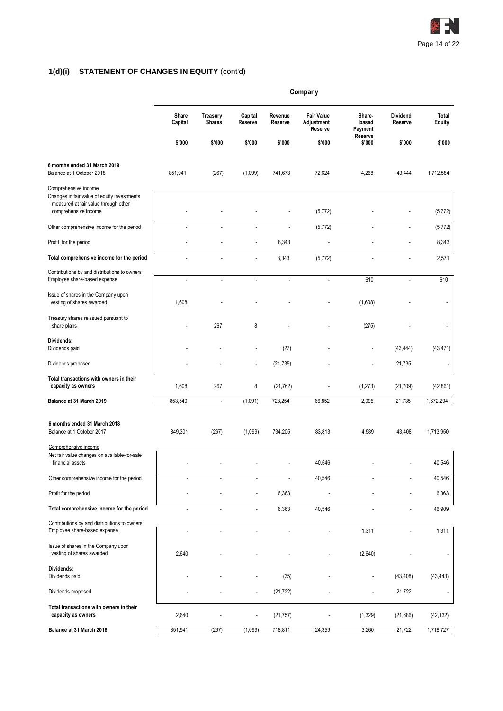

|                                                                                                                                     | Company              |                                  |                          |                          |                                            |                            |                     |                        |
|-------------------------------------------------------------------------------------------------------------------------------------|----------------------|----------------------------------|--------------------------|--------------------------|--------------------------------------------|----------------------------|---------------------|------------------------|
|                                                                                                                                     | Share<br>Capital     | <b>Treasury</b><br><b>Shares</b> | Capital<br>Reserve       | Revenue<br>Reserve       | <b>Fair Value</b><br>Adjustment<br>Reserve | Share-<br>based<br>Payment | Dividend<br>Reserve | Total<br><b>Equity</b> |
|                                                                                                                                     | \$'000               | \$'000                           | \$'000                   | \$'000                   | \$'000                                     | Reserve<br>\$'000          | \$'000              | \$'000                 |
| 6 months ended 31 March 2019<br>Balance at 1 October 2018                                                                           | 851,941              | (267)                            | (1,099)                  | 741,673                  | 72,624                                     | 4,268                      | 43,444              | 1,712,584              |
| Comprehensive income<br>Changes in fair value of equity investments<br>measured at fair value through other<br>comprehensive income |                      |                                  |                          |                          | (5, 772)                                   |                            |                     | (5, 772)               |
| Other comprehensive income for the period                                                                                           | $\overline{a}$       | ä,                               | $\blacksquare$           | ÷,                       | (5, 772)                                   | L,                         | ÷,                  | (5, 772)               |
| Profit for the period                                                                                                               |                      |                                  |                          | 8,343                    |                                            |                            | ٠                   | 8,343                  |
| Total comprehensive income for the period                                                                                           |                      |                                  | $\overline{\phantom{a}}$ | 8,343                    | (5, 772)                                   |                            |                     | 2,571                  |
| Contributions by and distributions to owners<br>Employee share-based expense                                                        | $\overline{a}$       | $\overline{a}$                   | $\overline{\phantom{a}}$ | ÷,                       | $\overline{a}$                             | 610                        | ÷,                  | 610                    |
| Issue of shares in the Company upon<br>vesting of shares awarded                                                                    | 1,608                |                                  |                          |                          |                                            | (1,608)                    |                     |                        |
| Treasury shares reissued pursuant to<br>share plans                                                                                 |                      | 267                              | 8                        |                          |                                            | (275)                      |                     |                        |
| Dividends:<br>Dividends paid                                                                                                        |                      |                                  |                          | (27)                     |                                            | L,                         | (43, 444)           | (43, 471)              |
| Dividends proposed                                                                                                                  |                      |                                  | $\overline{\phantom{a}}$ | (21, 735)                |                                            | L,                         | 21,735              |                        |
| Total transactions with owners in their<br>capacity as owners                                                                       | 1,608                | 267                              | 8                        | (21, 762)                |                                            | (1, 273)                   | (21, 709)           | (42, 861)              |
| Balance at 31 March 2019                                                                                                            | 853,549              | $\overline{\phantom{a}}$         | (1,091)                  | 728,254                  | 66,852                                     | 2,995                      | 21,735              | 1,672,294              |
| 6 months ended 31 March 2018<br>Balance at 1 October 2017                                                                           | 849,301              | (267)                            | (1,099)                  | 734,205                  | 83,813                                     | 4,589                      | 43,408              | 1,713,950              |
| Comprehensive income<br>Net fair value changes on available-for-sale<br>financial assets                                            |                      |                                  |                          |                          | 40,546                                     |                            |                     | 40,546                 |
|                                                                                                                                     |                      |                                  |                          |                          |                                            |                            |                     |                        |
| Other comprehensive income for the period                                                                                           | ÷,                   |                                  |                          |                          | 40,546                                     |                            |                     | 40,546                 |
| Profit for the period                                                                                                               |                      |                                  | ä,                       | 6,363                    |                                            |                            |                     | 6,363                  |
| Total comprehensive income for the period                                                                                           |                      |                                  | $\overline{a}$           | 6,363                    | 40,546                                     | $\overline{a}$             | ÷,                  | 46,909                 |
| Contributions by and distributions to owners<br>Employee share-based expense                                                        | $\ddot{\phantom{0}}$ | $\blacksquare$                   | $\overline{a}$           | $\overline{\phantom{a}}$ | $\sim$                                     | 1,311                      | ÷,                  | 1,311                  |
| Issue of shares in the Company upon<br>vesting of shares awarded                                                                    | 2,640                |                                  |                          |                          |                                            | (2,640)                    |                     |                        |
| Dividends:<br>Dividends paid                                                                                                        |                      |                                  |                          | (35)                     |                                            |                            | (43, 408)           | (43, 443)              |
| Dividends proposed                                                                                                                  |                      |                                  | L,                       | (21, 722)                |                                            |                            | 21,722              | $\overline{a}$         |
| Total transactions with owners in their<br>capacity as owners                                                                       | 2,640                |                                  | $\overline{\phantom{a}}$ | (21, 757)                |                                            | (1, 329)                   | (21, 686)           | (42, 132)              |
| Balance at 31 March 2018                                                                                                            | 851,941              | (267)                            | (1,099)                  | 718,811                  | 124,359                                    | 3,260                      | 21,722              | 1,718,727              |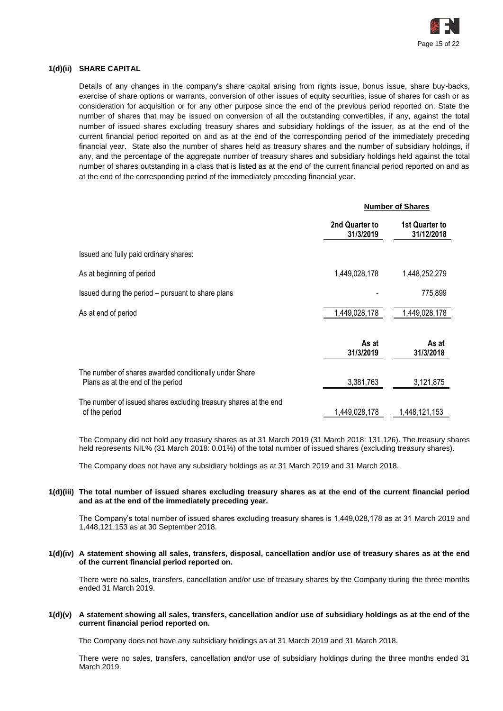

# **1(d)(ii) SHARE CAPITAL**

Details of any changes in the company's share capital arising from rights issue, bonus issue, share buy-backs, exercise of share options or warrants, conversion of other issues of equity securities, issue of shares for cash or as consideration for acquisition or for any other purpose since the end of the previous period reported on. State the number of shares that may be issued on conversion of all the outstanding convertibles, if any, against the total number of issued shares excluding treasury shares and subsidiary holdings of the issuer, as at the end of the current financial period reported on and as at the end of the corresponding period of the immediately preceding financial year. State also the number of shares held as treasury shares and the number of subsidiary holdings, if any, and the percentage of the aggregate number of treasury shares and subsidiary holdings held against the total number of shares outstanding in a class that is listed as at the end of the current financial period reported on and as at the end of the corresponding period of the immediately preceding financial year.

|                                                                                             |                             | <b>Number of Shares</b>      |
|---------------------------------------------------------------------------------------------|-----------------------------|------------------------------|
|                                                                                             | 2nd Quarter to<br>31/3/2019 | 1st Quarter to<br>31/12/2018 |
| Issued and fully paid ordinary shares:                                                      |                             |                              |
| As at beginning of period                                                                   | 1,449,028,178               | 1,448,252,279                |
| Issued during the period – pursuant to share plans                                          |                             | 775,899                      |
| As at end of period                                                                         | 1,449,028,178               | 1,449,028,178                |
|                                                                                             | As at<br>31/3/2019          | As at<br>31/3/2018           |
| The number of shares awarded conditionally under Share<br>Plans as at the end of the period | 3,381,763                   | 3,121,875                    |
| The number of issued shares excluding treasury shares at the end<br>of the period           | 1,449,028,178               | 1,448,121,153                |

The Company did not hold any treasury shares as at 31 March 2019 (31 March 2018: 131,126). The treasury shares held represents NIL% (31 March 2018: 0.01%) of the total number of issued shares (excluding treasury shares).

The Company does not have any subsidiary holdings as at 31 March 2019 and 31 March 2018.

# **1(d)(iii) The total number of issued shares excluding treasury shares as at the end of the current financial period and as at the end of the immediately preceding year.**

The Company's total number of issued shares excluding treasury shares is 1,449,028,178 as at 31 March 2019 and 1,448,121,153 as at 30 September 2018.

# **1(d)(iv) A statement showing all sales, transfers, disposal, cancellation and/or use of treasury shares as at the end of the current financial period reported on.**

There were no sales, transfers, cancellation and/or use of treasury shares by the Company during the three months ended 31 March 2019.

# **1(d)(v) A statement showing all sales, transfers, cancellation and/or use of subsidiary holdings as at the end of the current financial period reported on.**

The Company does not have any subsidiary holdings as at 31 March 2019 and 31 March 2018.

There were no sales, transfers, cancellation and/or use of subsidiary holdings during the three months ended 31 March 2019.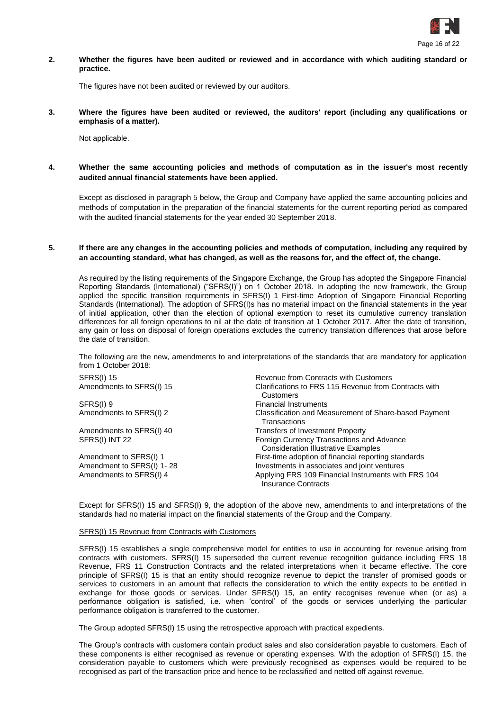

**2. Whether the figures have been audited or reviewed and in accordance with which auditing standard or practice.**

The figures have not been audited or reviewed by our auditors.

**3. Where the figures have been audited or reviewed, the auditors' report (including any qualifications or emphasis of a matter).**

Not applicable.

**4. Whether the same accounting policies and methods of computation as in the issuer's most recently audited annual financial statements have been applied.**

Except as disclosed in paragraph 5 below, the Group and Company have applied the same accounting policies and methods of computation in the preparation of the financial statements for the current reporting period as compared with the audited financial statements for the year ended 30 September 2018.

# **5. If there are any changes in the accounting policies and methods of computation, including any required by an accounting standard, what has changed, as well as the reasons for, and the effect of, the change.**

As required by the listing requirements of the Singapore Exchange, the Group has adopted the Singapore Financial Reporting Standards (International) ("SFRS(I)") on 1 October 2018. In adopting the new framework, the Group applied the specific transition requirements in SFRS(I) 1 First-time Adoption of Singapore Financial Reporting Standards (International). The adoption of SFRS(I)s has no material impact on the financial statements in the year of initial application, other than the election of optional exemption to reset its cumulative currency translation differences for all foreign operations to nil at the date of transition at 1 October 2017. After the date of transition, any gain or loss on disposal of foreign operations excludes the currency translation differences that arose before the date of transition.

The following are the new, amendments to and interpretations of the standards that are mandatory for application from 1 October 2018:

| <b>SFRS(I) 15</b>         | Revenue from Contracts with Customers                                                   |
|---------------------------|-----------------------------------------------------------------------------------------|
| Amendments to SFRS(I) 15  | Clarifications to FRS 115 Revenue from Contracts with<br>Customers                      |
| SFRS(I) 9                 | <b>Financial Instruments</b>                                                            |
| Amendments to SFRS(I) 2   | Classification and Measurement of Share-based Payment<br>Transactions                   |
| Amendments to SFRS(I) 40  | Transfers of Investment Property                                                        |
| SFRS(I) INT 22            | Foreign Currency Transactions and Advance<br><b>Consideration Illustrative Examples</b> |
| Amendment to SFRS(I) 1    | First-time adoption of financial reporting standards                                    |
| Amendment to SFRS(I) 1-28 | Investments in associates and joint ventures                                            |
| Amendments to SFRS(I) 4   | Applying FRS 109 Financial Instruments with FRS 104<br><b>Insurance Contracts</b>       |

Except for SFRS(I) 15 and SFRS(I) 9, the adoption of the above new, amendments to and interpretations of the standards had no material impact on the financial statements of the Group and the Company.

#### SFRS(I) 15 Revenue from Contracts with Customers

SFRS(I) 15 establishes a single comprehensive model for entities to use in accounting for revenue arising from contracts with customers. SFRS(I) 15 superseded the current revenue recognition guidance including FRS 18 Revenue, FRS 11 Construction Contracts and the related interpretations when it became effective. The core principle of SFRS(I) 15 is that an entity should recognize revenue to depict the transfer of promised goods or services to customers in an amount that reflects the consideration to which the entity expects to be entitled in exchange for those goods or services. Under SFRS(I) 15, an entity recognises revenue when (or as) a performance obligation is satisfied, i.e. when 'control' of the goods or services underlying the particular performance obligation is transferred to the customer.

The Group adopted SFRS(I) 15 using the retrospective approach with practical expedients.

The Group's contracts with customers contain product sales and also consideration payable to customers. Each of these components is either recognised as revenue or operating expenses. With the adoption of SFRS(I) 15, the consideration payable to customers which were previously recognised as expenses would be required to be recognised as part of the transaction price and hence to be reclassified and netted off against revenue.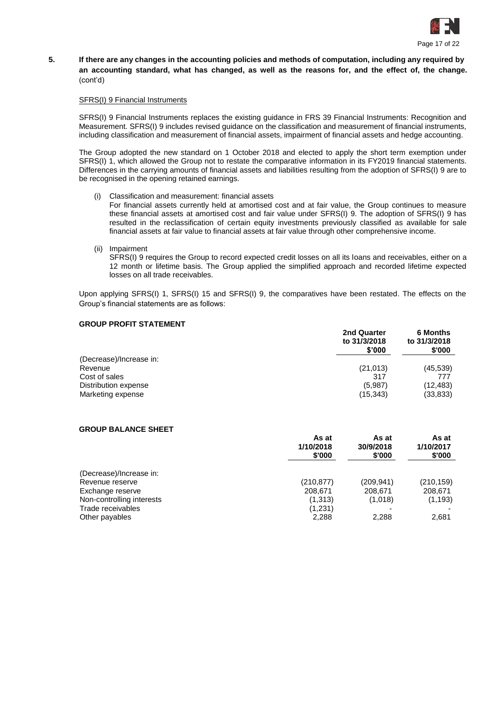

# **5. If there are any changes in the accounting policies and methods of computation, including any required by an accounting standard, what has changed, as well as the reasons for, and the effect of, the change.**  (cont'd)

# SFRS(I) 9 Financial Instruments

SFRS(I) 9 Financial Instruments replaces the existing guidance in FRS 39 Financial Instruments: Recognition and Measurement. SFRS(I) 9 includes revised guidance on the classification and measurement of financial instruments, including classification and measurement of financial assets, impairment of financial assets and hedge accounting.

The Group adopted the new standard on 1 October 2018 and elected to apply the short term exemption under SFRS(I) 1, which allowed the Group not to restate the comparative information in its FY2019 financial statements. Differences in the carrying amounts of financial assets and liabilities resulting from the adoption of SFRS(I) 9 are to be recognised in the opening retained earnings.

Classification and measurement: financial assets

For financial assets currently held at amortised cost and at fair value, the Group continues to measure these financial assets at amortised cost and fair value under SFRS(I) 9. The adoption of SFRS(I) 9 has resulted in the reclassification of certain equity investments previously classified as available for sale financial assets at fair value to financial assets at fair value through other comprehensive income.

(ii) Impairment

SFRS(I) 9 requires the Group to record expected credit losses on all its loans and receivables, either on a 12 month or lifetime basis. The Group applied the simplified approach and recorded lifetime expected losses on all trade receivables.

Upon applying SFRS(I) 1, SFRS(I) 15 and SFRS(I) 9, the comparatives have been restated. The effects on the Group's financial statements are as follows:

# **GROUP PROFIT STATEMENT**

|                         | 2nd Quarter<br>to 31/3/2018<br>\$'000 | <b>6 Months</b><br>to 31/3/2018<br>\$'000 |  |
|-------------------------|---------------------------------------|-------------------------------------------|--|
| (Decrease)/Increase in: |                                       |                                           |  |
| Revenue                 | (21, 013)                             | (45, 539)                                 |  |
| Cost of sales           | 317                                   | 777                                       |  |
| Distribution expense    | (5,987)                               | (12, 483)                                 |  |
| Marketing expense       | (15, 343)                             | (33, 833)                                 |  |

# **GROUP BALANCE SHEET**

|                           | As at<br>1/10/2018<br>\$'000 | As at<br>30/9/2018<br>\$'000 | As at<br>1/10/2017<br>\$'000 |  |
|---------------------------|------------------------------|------------------------------|------------------------------|--|
| (Decrease)/Increase in:   |                              |                              |                              |  |
| Revenue reserve           | (210, 877)                   | (209,941)                    | (210, 159)                   |  |
| Exchange reserve          | 208,671                      | 208,671                      | 208,671                      |  |
| Non-controlling interests | (1,313)                      | (1,018)                      | (1, 193)                     |  |
| Trade receivables         | (1,231)                      |                              |                              |  |
| Other payables            | 2,288                        | 2,288                        | 2,681                        |  |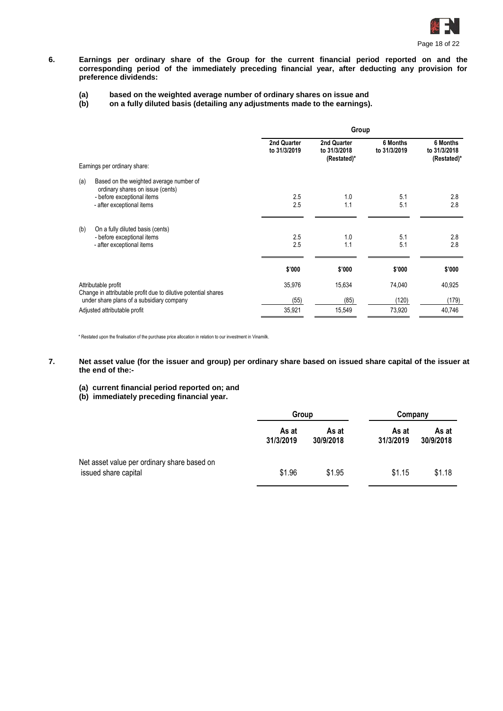

**6. Earnings per ordinary share of the Group for the current financial period reported on and the corresponding period of the immediately preceding financial year, after deducting any provision for preference dividends:**

# **(a) based on the weighted average number of ordinary shares on issue and**

**(b) on a fully diluted basis (detailing any adjustments made to the earnings).**

|                                                                                       | Group                       |                                            |                          |                                         |
|---------------------------------------------------------------------------------------|-----------------------------|--------------------------------------------|--------------------------|-----------------------------------------|
|                                                                                       | 2nd Quarter<br>to 31/3/2019 | 2nd Quarter<br>to 31/3/2018<br>(Restated)* | 6 Months<br>to 31/3/2019 | 6 Months<br>to 31/3/2018<br>(Restated)* |
| Earnings per ordinary share:                                                          |                             |                                            |                          |                                         |
| (a)<br>Based on the weighted average number of<br>ordinary shares on issue (cents)    |                             |                                            |                          |                                         |
| - before exceptional items                                                            | 2.5                         | 1.0                                        | 5.1                      | 2.8                                     |
| - after exceptional items                                                             | 2.5                         | 1.1                                        | 5.1                      | 2.8                                     |
| (b)<br>On a fully diluted basis (cents)                                               |                             |                                            |                          |                                         |
| - before exceptional items                                                            | 2.5                         | 1.0                                        | 5.1                      | 2.8                                     |
| - after exceptional items                                                             | 2.5                         | 1.1                                        | 5.1                      | 2.8                                     |
|                                                                                       | \$'000                      | \$'000                                     | \$'000                   | \$'000                                  |
|                                                                                       |                             |                                            |                          |                                         |
| Attributable profit<br>Change in attributable profit due to dilutive potential shares | 35,976                      | 15,634                                     | 74,040                   | 40,925                                  |
| under share plans of a subsidiary company                                             | (55)                        | (85)                                       | (120)                    | (179)                                   |
| Adjusted attributable profit                                                          | 35,921                      | 15,549                                     | 73,920                   | 40,746                                  |

\* Restated upon the finalisation of the purchase price allocation in relation to our investment in Vinamilk.

# **7. Net asset value (for the issuer and group) per ordinary share based on issued share capital of the issuer at the end of the:-**

- **(a) current financial period reported on; and**
- **(b) immediately preceding financial year.**

|                                                                     | Group              |                    | Company            |                    |
|---------------------------------------------------------------------|--------------------|--------------------|--------------------|--------------------|
|                                                                     | As at<br>31/3/2019 | As at<br>30/9/2018 | As at<br>31/3/2019 | As at<br>30/9/2018 |
| Net asset value per ordinary share based on<br>issued share capital | \$1.96             | \$1.95             | \$1.15             | \$1.18             |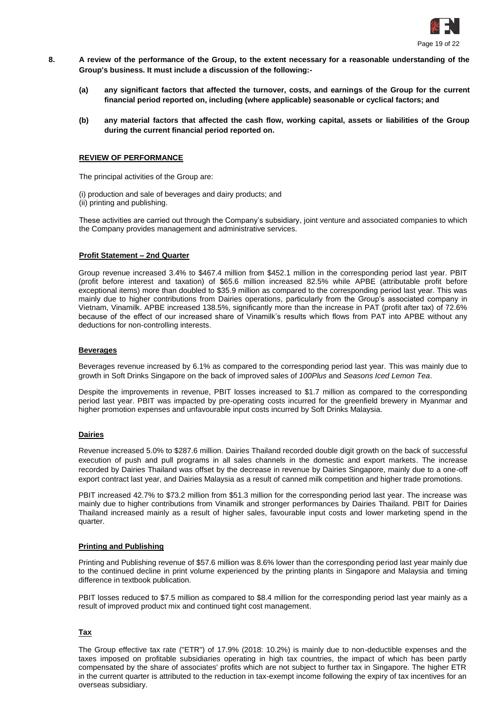

- **8. A review of the performance of the Group, to the extent necessary for a reasonable understanding of the Group's business. It must include a discussion of the following:-**
	- **(a) any significant factors that affected the turnover, costs, and earnings of the Group for the current financial period reported on, including (where applicable) seasonable or cyclical factors; and**
	- **(b) any material factors that affected the cash flow, working capital, assets or liabilities of the Group during the current financial period reported on.**

# **REVIEW OF PERFORMANCE**

The principal activities of the Group are:

(i) production and sale of beverages and dairy products; and (ii) printing and publishing.

These activities are carried out through the Company's subsidiary, joint venture and associated companies to which the Company provides management and administrative services.

#### **Profit Statement – 2nd Quarter**

Group revenue increased 3.4% to \$467.4 million from \$452.1 million in the corresponding period last year. PBIT (profit before interest and taxation) of \$65.6 million increased 82.5% while APBE (attributable profit before exceptional items) more than doubled to \$35.9 million as compared to the corresponding period last year. This was mainly due to higher contributions from Dairies operations, particularly from the Group's associated company in Vietnam, Vinamilk. APBE increased 138.5%, significantly more than the increase in PAT (profit after tax) of 72.6% because of the effect of our increased share of Vinamilk's results which flows from PAT into APBE without any deductions for non-controlling interests.

#### **Beverages**

Beverages revenue increased by 6.1% as compared to the corresponding period last year. This was mainly due to growth in Soft Drinks Singapore on the back of improved sales of *100Plus* and *Seasons Iced Lemon Tea*.

Despite the improvements in revenue, PBIT losses increased to \$1.7 million as compared to the corresponding period last year. PBIT was impacted by pre-operating costs incurred for the greenfield brewery in Myanmar and higher promotion expenses and unfavourable input costs incurred by Soft Drinks Malaysia.

# **Dairies**

Revenue increased 5.0% to \$287.6 million. Dairies Thailand recorded double digit growth on the back of successful execution of push and pull programs in all sales channels in the domestic and export markets. The increase recorded by Dairies Thailand was offset by the decrease in revenue by Dairies Singapore, mainly due to a one-off export contract last year, and Dairies Malaysia as a result of canned milk competition and higher trade promotions.

PBIT increased 42.7% to \$73.2 million from \$51.3 million for the corresponding period last year. The increase was mainly due to higher contributions from Vinamilk and stronger performances by Dairies Thailand. PBIT for Dairies Thailand increased mainly as a result of higher sales, favourable input costs and lower marketing spend in the quarter.

# **Printing and Publishing**

Printing and Publishing revenue of \$57.6 million was 8.6% lower than the corresponding period last year mainly due to the continued decline in print volume experienced by the printing plants in Singapore and Malaysia and timing difference in textbook publication.

PBIT losses reduced to \$7.5 million as compared to \$8.4 million for the corresponding period last year mainly as a result of improved product mix and continued tight cost management.

# **Tax**

The Group effective tax rate ("ETR") of 17.9% (2018: 10.2%) is mainly due to non-deductible expenses and the taxes imposed on profitable subsidiaries operating in high tax countries, the impact of which has been partly compensated by the share of associates' profits which are not subject to further tax in Singapore. The higher ETR in the current quarter is attributed to the reduction in tax-exempt income following the expiry of tax incentives for an overseas subsidiary.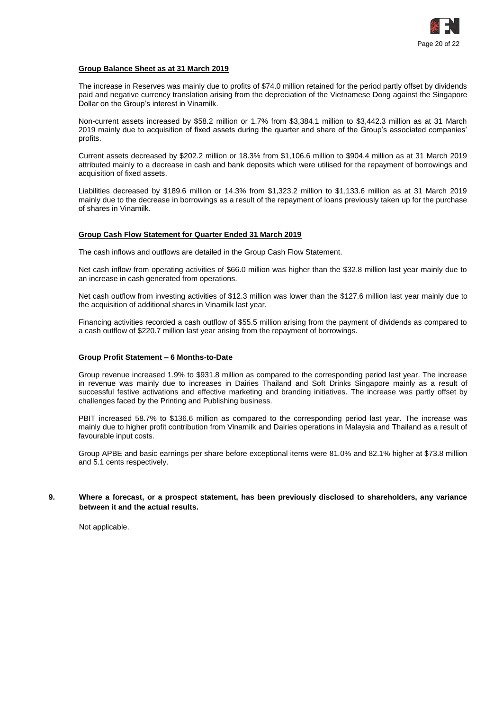

# **Group Balance Sheet as at 31 March 2019**

The increase in Reserves was mainly due to profits of \$74.0 million retained for the period partly offset by dividends paid and negative currency translation arising from the depreciation of the Vietnamese Dong against the Singapore Dollar on the Group's interest in Vinamilk.

Non-current assets increased by \$58.2 million or 1.7% from \$3,384.1 million to \$3,442.3 million as at 31 March 2019 mainly due to acquisition of fixed assets during the quarter and share of the Group's associated companies' profits.

Current assets decreased by \$202.2 million or 18.3% from \$1,106.6 million to \$904.4 million as at 31 March 2019 attributed mainly to a decrease in cash and bank deposits which were utilised for the repayment of borrowings and acquisition of fixed assets.

Liabilities decreased by \$189.6 million or 14.3% from \$1,323.2 million to \$1,133.6 million as at 31 March 2019 mainly due to the decrease in borrowings as a result of the repayment of loans previously taken up for the purchase of shares in Vinamilk.

# **Group Cash Flow Statement for Quarter Ended 31 March 2019**

The cash inflows and outflows are detailed in the Group Cash Flow Statement.

Net cash inflow from operating activities of \$66.0 million was higher than the \$32.8 million last year mainly due to an increase in cash generated from operations.

Net cash outflow from investing activities of \$12.3 million was lower than the \$127.6 million last year mainly due to the acquisition of additional shares in Vinamilk last year.

Financing activities recorded a cash outflow of \$55.5 million arising from the payment of dividends as compared to a cash outflow of \$220.7 million last year arising from the repayment of borrowings.

# **Group Profit Statement – 6 Months-to-Date**

Group revenue increased 1.9% to \$931.8 million as compared to the corresponding period last year. The increase in revenue was mainly due to increases in Dairies Thailand and Soft Drinks Singapore mainly as a result of successful festive activations and effective marketing and branding initiatives. The increase was partly offset by challenges faced by the Printing and Publishing business.

PBIT increased 58.7% to \$136.6 million as compared to the corresponding period last year. The increase was mainly due to higher profit contribution from Vinamilk and Dairies operations in Malaysia and Thailand as a result of favourable input costs.

Group APBE and basic earnings per share before exceptional items were 81.0% and 82.1% higher at \$73.8 million and 5.1 cents respectively.

# **9. Where a forecast, or a prospect statement, has been previously disclosed to shareholders, any variance between it and the actual results.**

Not applicable.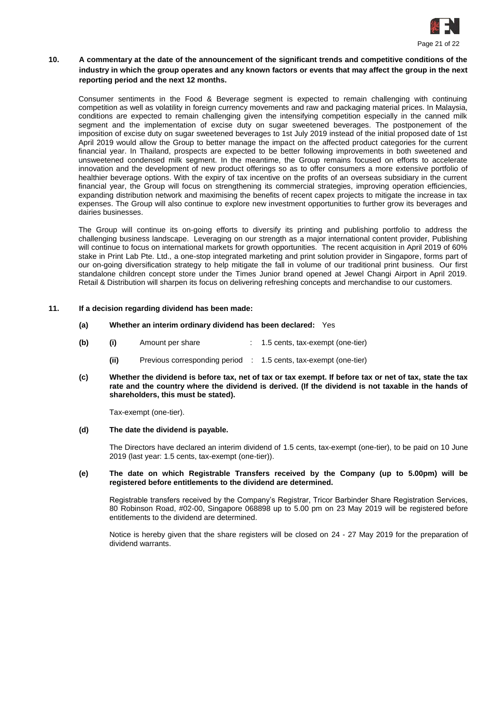

# **10. A commentary at the date of the announcement of the significant trends and competitive conditions of the industry in which the group operates and any known factors or events that may affect the group in the next reporting period and the next 12 months.**

Consumer sentiments in the Food & Beverage segment is expected to remain challenging with continuing competition as well as volatility in foreign currency movements and raw and packaging material prices. In Malaysia, conditions are expected to remain challenging given the intensifying competition especially in the canned milk segment and the implementation of excise duty on sugar sweetened beverages. The postponement of the imposition of excise duty on sugar sweetened beverages to 1st July 2019 instead of the initial proposed date of 1st April 2019 would allow the Group to better manage the impact on the affected product categories for the current financial year. In Thailand, prospects are expected to be better following improvements in both sweetened and unsweetened condensed milk segment. In the meantime, the Group remains focused on efforts to accelerate innovation and the development of new product offerings so as to offer consumers a more extensive portfolio of healthier beverage options. With the expiry of tax incentive on the profits of an overseas subsidiary in the current financial year, the Group will focus on strengthening its commercial strategies, improving operation efficiencies, expanding distribution network and maximising the benefits of recent capex projects to mitigate the increase in tax expenses. The Group will also continue to explore new investment opportunities to further grow its beverages and dairies businesses.

The Group will continue its on-going efforts to diversify its printing and publishing portfolio to address the challenging business landscape. Leveraging on our strength as a major international content provider, Publishing will continue to focus on international markets for growth opportunities. The recent acquisition in April 2019 of 60% stake in Print Lab Pte. Ltd., a one-stop integrated marketing and print solution provider in Singapore, forms part of our on-going diversification strategy to help mitigate the fall in volume of our traditional print business. Our first standalone children concept store under the Times Junior brand opened at Jewel Changi Airport in April 2019. Retail & Distribution will sharpen its focus on delivering refreshing concepts and merchandise to our customers.

# **11. If a decision regarding dividend has been made:**

- **(a) Whether an interim ordinary dividend has been declared:** Yes
- **(b) (i)** Amount per share : 1.5 cents, tax-exempt (one-tier)
	- **(ii)** Previous corresponding period : 1.5 cents, tax-exempt (one-tier)
- **(c) Whether the dividend is before tax, net of tax or tax exempt. If before tax or net of tax, state the tax rate and the country where the dividend is derived. (If the dividend is not taxable in the hands of shareholders, this must be stated).**

Tax-exempt (one-tier).

**(d) The date the dividend is payable.**

The Directors have declared an interim dividend of 1.5 cents, tax-exempt (one-tier), to be paid on 10 June 2019 (last year: 1.5 cents, tax-exempt (one-tier)).

#### **(e) The date on which Registrable Transfers received by the Company (up to 5.00pm) will be registered before entitlements to the dividend are determined.**

Registrable transfers received by the Company's Registrar, Tricor Barbinder Share Registration Services, 80 Robinson Road, #02-00, Singapore 068898 up to 5.00 pm on 23 May 2019 will be registered before entitlements to the dividend are determined.

Notice is hereby given that the share registers will be closed on 24 - 27 May 2019 for the preparation of dividend warrants.